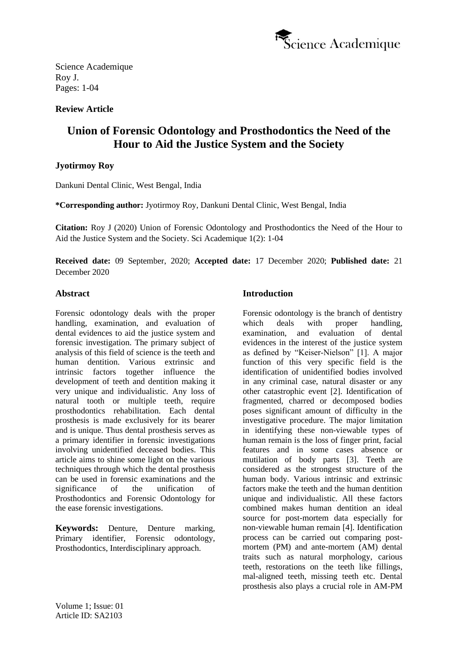

## **Review Article**

# **Union of Forensic Odontology and Prosthodontics the Need of the Hour to Aid the Justice System and the Society**

## **Jyotirmoy Roy**

Dankuni Dental Clinic, West Bengal, India

**\*Corresponding author:** Jyotirmoy Roy, Dankuni Dental Clinic, West Bengal, India

**Citation:** Roy J (2020) Union of Forensic Odontology and Prosthodontics the Need of the Hour to Aid the Justice System and the Society. Sci Academique 1(2): 1-04

**Received date:** 09 September, 2020; **Accepted date:** 17 December 2020; **Published date:** 21 December 2020

#### **Abstract**

Forensic odontology deals with the proper handling, examination, and evaluation of dental evidences to aid the justice system and forensic investigation. The primary subject of analysis of this field of science is the teeth and human dentition. Various extrinsic and intrinsic factors together influence the development of teeth and dentition making it very unique and individualistic. Any loss of natural tooth or multiple teeth, require prosthodontics rehabilitation. Each dental prosthesis is made exclusively for its bearer and is unique. Thus dental prosthesis serves as a primary identifier in forensic investigations involving unidentified deceased bodies. This article aims to shine some light on the various techniques through which the dental prosthesis can be used in forensic examinations and the significance of the unification of Prosthodontics and Forensic Odontology for the ease forensic investigations.

**Keywords:** Denture, Denture marking, Primary identifier, Forensic odontology, Prosthodontics, Interdisciplinary approach.

### **Introduction**

Forensic odontology is the branch of dentistry which deals with proper handling, examination, and evaluation of dental evidences in the interest of the justice system as defined by "Keiser‑Nielson" [1]. A major function of this very specific field is the identification of unidentified bodies involved in any criminal case, natural disaster or any other catastrophic event [2]. Identification of fragmented, charred or decomposed bodies poses significant amount of difficulty in the investigative procedure. The major limitation in identifying these non-viewable types of human remain is the loss of finger print, facial features and in some cases absence or mutilation of body parts [3]. Teeth are considered as the strongest structure of the human body. Various intrinsic and extrinsic factors make the teeth and the human dentition unique and individualistic. All these factors combined makes human dentition an ideal source for post-mortem data especially for non-viewable human remain [4]. Identification process can be carried out comparing postmortem (PM) and ante-mortem (AM) dental traits such as natural morphology, carious teeth, restorations on the teeth like fillings, mal-aligned teeth, missing teeth etc. Dental prosthesis also plays a crucial role in AM-PM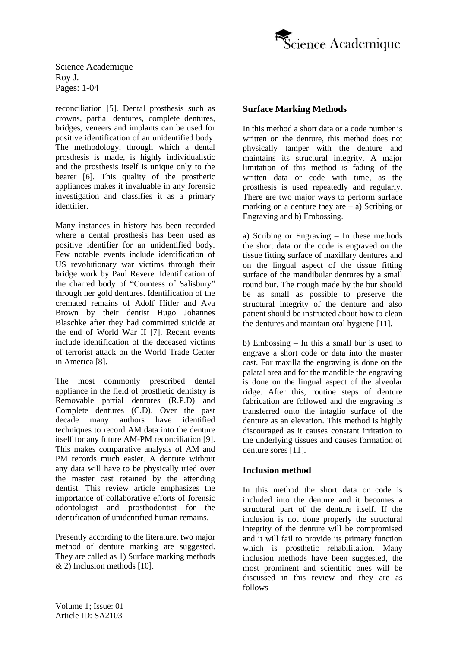

reconciliation [5]. Dental prosthesis such as crowns, partial dentures, complete dentures, bridges, veneers and implants can be used for positive identification of an unidentified body. The methodology, through which a dental prosthesis is made, is highly individualistic and the prosthesis itself is unique only to the bearer [6]. This quality of the prosthetic appliances makes it invaluable in any forensic investigation and classifies it as a primary identifier.

Many instances in history has been recorded where a dental prosthesis has been used as positive identifier for an unidentified body. Few notable events include identification of US revolutionary war victims through their bridge work by Paul Revere. Identification of the charred body of "Countess of Salisbury" through her gold dentures. Identification of the cremated remains of Adolf Hitler and Ava Brown by their dentist Hugo Johannes Blaschke after they had committed suicide at the end of World War II [7]. Recent events include identification of the deceased victims of terrorist attack on the World Trade Center in America [8].

The most commonly prescribed dental appliance in the field of prosthetic dentistry is Removable partial dentures (R.P.D) and Complete dentures (C.D). Over the past decade many authors have identified techniques to record AM data into the denture itself for any future AM-PM reconciliation [9]. This makes comparative analysis of AM and PM records much easier. A denture without any data will have to be physically tried over the master cast retained by the attending dentist. This review article emphasizes the importance of collaborative efforts of forensic odontologist and prosthodontist for the identification of unidentified human remains.

Presently according to the literature, two major method of denture marking are suggested. They are called as 1) Surface marking methods & 2) Inclusion methods [10].

### **Surface Marking Methods**

In this method a short data or a code number is written on the denture, this method does not physically tamper with the denture and maintains its structural integrity. A major limitation of this method is fading of the written data or code with time, as the prosthesis is used repeatedly and regularly. There are two major ways to perform surface marking on a denture they are  $-$  a) Scribing or Engraving and b) Embossing.

a) Scribing or Engraving – In these methods the short data or the code is engraved on the tissue fitting surface of maxillary dentures and on the lingual aspect of the tissue fitting surface of the mandibular dentures by a small round bur. The trough made by the bur should be as small as possible to preserve the structural integrity of the denture and also patient should be instructed about how to clean the dentures and maintain oral hygiene [11].

b) Embossing – In this a small bur is used to engrave a short code or data into the master cast. For maxilla the engraving is done on the palatal area and for the mandible the engraving is done on the lingual aspect of the alveolar ridge. After this, routine steps of denture fabrication are followed and the engraving is transferred onto the intaglio surface of the denture as an elevation. This method is highly discouraged as it causes constant irritation to the underlying tissues and causes formation of denture sores [11].

### **Inclusion method**

In this method the short data or code is included into the denture and it becomes a structural part of the denture itself. If the inclusion is not done properly the structural integrity of the denture will be compromised and it will fail to provide its primary function which is prosthetic rehabilitation. Many inclusion methods have been suggested, the most prominent and scientific ones will be discussed in this review and they are as follows –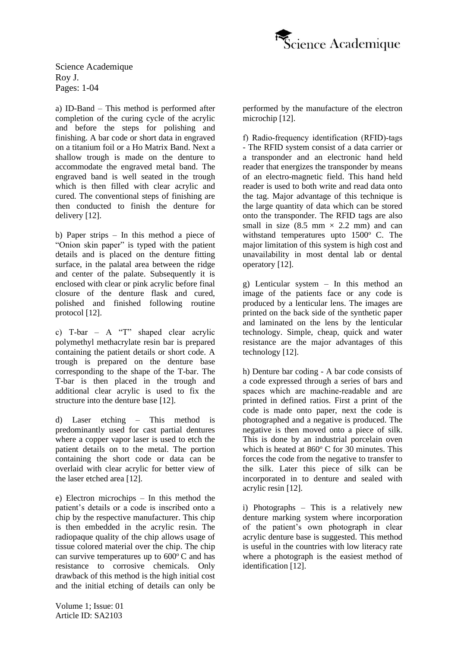

a) ID-Band – This method is performed after completion of the curing cycle of the acrylic and before the steps for polishing and finishing. A bar code or short data in engraved on a titanium foil or a Ho Matrix Band. Next a shallow trough is made on the denture to accommodate the engraved metal band. The engraved band is well seated in the trough which is then filled with clear acrylic and cured. The conventional steps of finishing are then conducted to finish the denture for delivery [12].

b) Paper strips – In this method a piece of "Onion skin paper" is typed with the patient details and is placed on the denture fitting surface, in the palatal area between the ridge and center of the palate. Subsequently it is enclosed with clear or pink acrylic before final closure of the denture flask and cured, polished and finished following routine protocol [12].

c) T-bar – A "T" shaped clear acrylic polymethyl methacrylate resin bar is prepared containing the patient details or short code. A trough is prepared on the denture base corresponding to the shape of the T-bar. The T-bar is then placed in the trough and additional clear acrylic is used to fix the structure into the denture base [12].

d) Laser etching – This method is predominantly used for cast partial dentures where a copper vapor laser is used to etch the patient details on to the metal. The portion containing the short code or data can be overlaid with clear acrylic for better view of the laser etched area [12].

e) Electron microchips – In this method the patient's details or a code is inscribed onto a chip by the respective manufacturer. This chip is then embedded in the acrylic resin. The radiopaque quality of the chip allows usage of tissue colored material over the chip. The chip can survive temperatures up to  $600^{\circ}$ C and has resistance to corrosive chemicals. Only drawback of this method is the high initial cost and the initial etching of details can only be

performed by the manufacture of the electron microchip [12].

f) Radio‑frequency identification (RFID)‑tags - The RFID system consist of a data carrier or a transponder and an electronic hand held reader that energizes the transponder by means of an electro-magnetic field. This hand held reader is used to both write and read data onto the tag. Major advantage of this technique is the large quantity of data which can be stored onto the transponder. The RFID tags are also small in size  $(8.5 \text{ mm} \times 2.2 \text{ mm})$  and can withstand temperatures upto  $1500^{\circ}$  C. The major limitation of this system is high cost and unavailability in most dental lab or dental operatory [12].

g) Lenticular system – In this method an image of the patients face or any code is produced by a lenticular lens. The images are printed on the back side of the synthetic paper and laminated on the lens by the lenticular technology. Simple, cheap, quick and water resistance are the major advantages of this technology [12].

h) Denture bar coding - A bar code consists of a code expressed through a series of bars and spaces which are machine-readable and are printed in defined ratios. First a print of the code is made onto paper, next the code is photographed and a negative is produced. The negative is then moved onto a piece of silk. This is done by an industrial porcelain oven which is heated at  $860^{\circ}$  C for 30 minutes. This forces the code from the negative to transfer to the silk. Later this piece of silk can be incorporated in to denture and sealed with acrylic resin [12].

i) Photographs – This is a relatively new denture marking system where incorporation of the patient's own photograph in clear acrylic denture base is suggested. This method is useful in the countries with low literacy rate where a photograph is the easiest method of identification [12].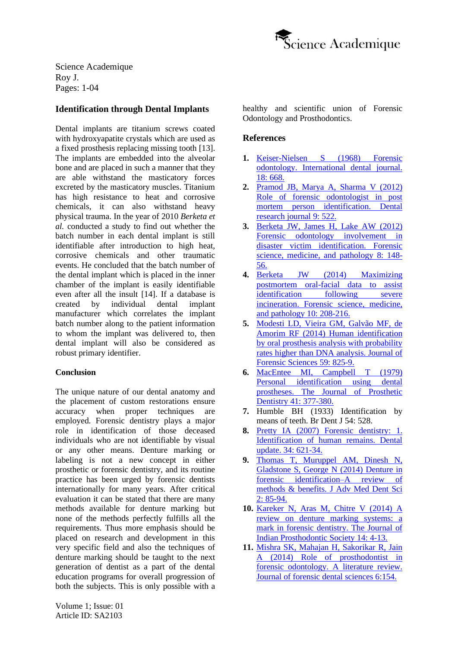

## **Identification through Dental Implants**

Dental implants are titanium screws coated with hydroxyapatite crystals which are used as a fixed prosthesis replacing missing tooth [13]. The implants are embedded into the alveolar bone and are placed in such a manner that they are able withstand the masticatory forces excreted by the masticatory muscles. Titanium has high resistance to heat and corrosive chemicals, it can also withstand heavy physical trauma. In the year of 2010 *Berketa et al.* conducted a study to find out whether the batch number in each dental implant is still identifiable after introduction to high heat, corrosive chemicals and other traumatic events. He concluded that the batch number of the dental implant which is placed in the inner chamber of the implant is easily identifiable even after all the insult [14]. If a database is created by individual dental implant manufacturer which correlates the implant batch number along to the patient information to whom the implant was delivered to, then dental implant will also be considered as robust primary identifier.

#### **Conclusion**

The unique nature of our dental anatomy and the placement of custom restorations ensure accuracy when proper techniques are employed. Forensic dentistry plays a major role in identification of those deceased individuals who are not identifiable by visual or any other means. Denture marking or labeling is not a new concept in either prosthetic or forensic dentistry, and its routine practice has been urged by forensic dentists internationally for many years. After critical evaluation it can be stated that there are many methods available for denture marking but none of the methods perfectly fulfills all the requirements. Thus more emphasis should be placed on research and development in this very specific field and also the techniques of denture marking should be taught to the next generation of dentist as a part of the dental education programs for overall progression of both the subjects. This is only possible with a healthy and scientific union of Forensic Odontology and Prosthodontics.

#### **References**

- **1.** [Keiser-Nielsen S](https://pubmed.ncbi.nlm.nih.gov/4386964/) (1968) Forensic [odontology. International dental journal.](https://pubmed.ncbi.nlm.nih.gov/4386964/)  18: [668.](https://pubmed.ncbi.nlm.nih.gov/4386964/)
- **2.** [Pramod JB, Marya A, Sharma V](https://www.researchgate.net/publication/236115147_Role_of_forensic_odontologist_in_post_mortem_person_identification) (2012) [Role of forensic odontologist in post](https://www.researchgate.net/publication/236115147_Role_of_forensic_odontologist_in_post_mortem_person_identification)  [mortem person identification. Dental](https://www.researchgate.net/publication/236115147_Role_of_forensic_odontologist_in_post_mortem_person_identification)  [research journal](https://www.researchgate.net/publication/236115147_Role_of_forensic_odontologist_in_post_mortem_person_identification) 9: 522.
- **3.** [Berketa JW, James H, Lake AW](https://pubmed.ncbi.nlm.nih.gov/21952930/) (2012) [Forensic odontology involvement in](https://pubmed.ncbi.nlm.nih.gov/21952930/)  [disaster victim identification. Forensic](https://pubmed.ncbi.nlm.nih.gov/21952930/)  [science, medicine, and pathology](https://pubmed.ncbi.nlm.nih.gov/21952930/) 8: 148- [56.](https://pubmed.ncbi.nlm.nih.gov/21952930/)
- **4.** [Berketa JW](https://link.springer.com/article/10.1007/s12024-013-9497-4) (2014) Maximizing [postmortem oral-facial data to assist](https://link.springer.com/article/10.1007/s12024-013-9497-4)  identification following severe [incineration. Forensic science, medicine,](https://link.springer.com/article/10.1007/s12024-013-9497-4)  [and pathology](https://link.springer.com/article/10.1007/s12024-013-9497-4) 10: 208-216.
- **5.** [Modesti LD, Vieira GM, Galvão MF, de](https://onlinelibrary.wiley.com/doi/abs/10.1111/1556-4029.12404)  Amorim RF (2014) [Human identification](https://onlinelibrary.wiley.com/doi/abs/10.1111/1556-4029.12404)  by [oral prosthesis analysis with probability](https://onlinelibrary.wiley.com/doi/abs/10.1111/1556-4029.12404)  [rates higher than DNA analysis. Journal of](https://onlinelibrary.wiley.com/doi/abs/10.1111/1556-4029.12404)  [Forensic Sciences](https://onlinelibrary.wiley.com/doi/abs/10.1111/1556-4029.12404) 59: 825-9.
- **6.** [MacEntee MI, Campbell T](https://www.sciencedirect.com/science/article/abs/pii/0022391379900325) (1979) [Personal identification using dental](https://www.sciencedirect.com/science/article/abs/pii/0022391379900325)  [prostheses. The Journal of Prosthetic](https://www.sciencedirect.com/science/article/abs/pii/0022391379900325)  [Dentistry](https://www.sciencedirect.com/science/article/abs/pii/0022391379900325) 41: 377-380.
- **7.** Humble BH (1933) Identification by means of teeth. Br Dent J 54: 528.
- **8.** Pretty IA (2007) [Forensic dentistry: 1.](https://pubmed.ncbi.nlm.nih.gov/18196827/)  [Identification of human remains. Dental](https://pubmed.ncbi.nlm.nih.gov/18196827/)  [update. 34:](https://pubmed.ncbi.nlm.nih.gov/18196827/) 621-34.
- **9.** [Thomas T, Muruppel AM, Dinesh N,](http://jamdsr.com/pdf1/DenturesinForensicIdentification-AReviewofMethodsBenefits.pdf)  [Gladstone S, George N](http://jamdsr.com/pdf1/DenturesinForensicIdentification-AReviewofMethodsBenefits.pdf) (2014) Denture in [forensic identification–A review of](http://jamdsr.com/pdf1/DenturesinForensicIdentification-AReviewofMethodsBenefits.pdf)  [methods & benefits. J Adv Med Dent Sci](http://jamdsr.com/pdf1/DenturesinForensicIdentification-AReviewofMethodsBenefits.pdf) 2: [85-94.](http://jamdsr.com/pdf1/DenturesinForensicIdentification-AReviewofMethodsBenefits.pdf)
- **10.** [Kareker N, Aras M, Chitre V](https://pubmed.ncbi.nlm.nih.gov/26199485/) (2014) A [review on denture marking systems: a](https://pubmed.ncbi.nlm.nih.gov/26199485/)  [mark in forensic dentistry. The Journal of](https://pubmed.ncbi.nlm.nih.gov/26199485/)  [Indian Prosthodontic Society](https://pubmed.ncbi.nlm.nih.gov/26199485/) 14: 4-13.
- **11.** [Mishra SK, Mahajan H, Sakorikar R, Jain](http://www.jfds.org/article.asp?issn=0975-1475;year=2014;volume=6;issue=3;spage=154;epage=159;aulast=Mishra)  A (2014) [Role of prosthodontist in](http://www.jfds.org/article.asp?issn=0975-1475;year=2014;volume=6;issue=3;spage=154;epage=159;aulast=Mishra)  [forensic odontology. A literature review.](http://www.jfds.org/article.asp?issn=0975-1475;year=2014;volume=6;issue=3;spage=154;epage=159;aulast=Mishra)  [Journal of forensic dental sciences](http://www.jfds.org/article.asp?issn=0975-1475;year=2014;volume=6;issue=3;spage=154;epage=159;aulast=Mishra) 6:154.

Volume 1; Issue: 01 Article ID: SA2103